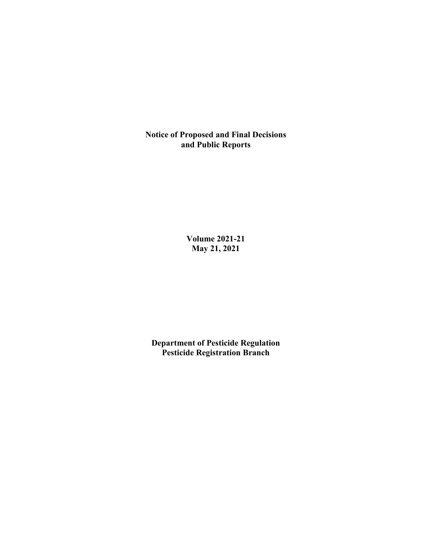**Notice of Proposed and Final Decisions and Public Reports**

> **Volume 2021-21 May 21, 2021**

**Department of Pesticide Regulation Pesticide Registration Branch**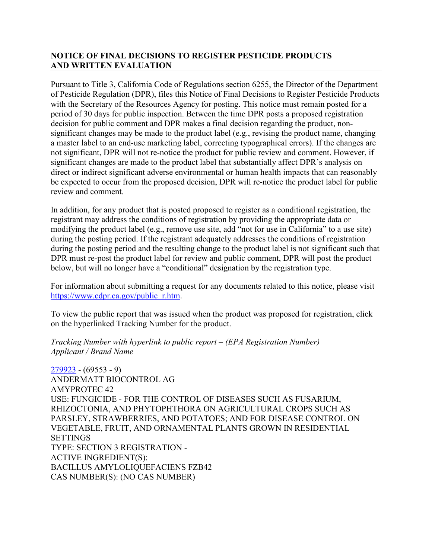## **NOTICE OF FINAL DECISIONS TO REGISTER PESTICIDE PRODUCTS AND WRITTEN EVALUATION**

Pursuant to Title 3, California Code of Regulations section 6255, the Director of the Department of Pesticide Regulation (DPR), files this Notice of Final Decisions to Register Pesticide Products with the Secretary of the Resources Agency for posting. This notice must remain posted for a period of 30 days for public inspection. Between the time DPR posts a proposed registration decision for public comment and DPR makes a final decision regarding the product, nonsignificant changes may be made to the product label (e.g., revising the product name, changing a master label to an end-use marketing label, correcting typographical errors). If the changes are not significant, DPR will not re-notice the product for public review and comment. However, if significant changes are made to the product label that substantially affect DPR's analysis on direct or indirect significant adverse environmental or human health impacts that can reasonably be expected to occur from the proposed decision, DPR will re-notice the product label for public review and comment.

In addition, for any product that is posted proposed to register as a conditional registration, the registrant may address the conditions of registration by providing the appropriate data or modifying the product label (e.g., remove use site, add "not for use in California" to a use site) during the posting period. If the registrant adequately addresses the conditions of registration during the posting period and the resulting change to the product label is not significant such that DPR must re-post the product label for review and public comment, DPR will post the product below, but will no longer have a "conditional" designation by the registration type.

For information about submitting a request for any documents related to this notice, please visit [https://www.cdpr.ca.gov/public\\_r.htm.](https://www.cdpr.ca.gov/public_r.htm)

To view the public report that was issued when the product was proposed for registration, click on the hyperlinked Tracking Number for the product.

*Tracking Number with hyperlink to public report – (EPA Registration Number) Applicant / Brand Name*

[279923](https://www.cdpr.ca.gov/docs/registration/nod/public_reports/279923.pdf) - (69553 - 9) ANDERMATT BIOCONTROL AG AMYPROTEC 42 USE: FUNGICIDE - FOR THE CONTROL OF DISEASES SUCH AS FUSARIUM, RHIZOCTONIA, AND PHYTOPHTHORA ON AGRICULTURAL CROPS SUCH AS PARSLEY, STRAWBERRIES, AND POTATOES; AND FOR DISEASE CONTROL ON VEGETABLE, FRUIT, AND ORNAMENTAL PLANTS GROWN IN RESIDENTIAL **SETTINGS** TYPE: SECTION 3 REGISTRATION - ACTIVE INGREDIENT(S): BACILLUS AMYLOLIQUEFACIENS FZB42 CAS NUMBER(S): (NO CAS NUMBER)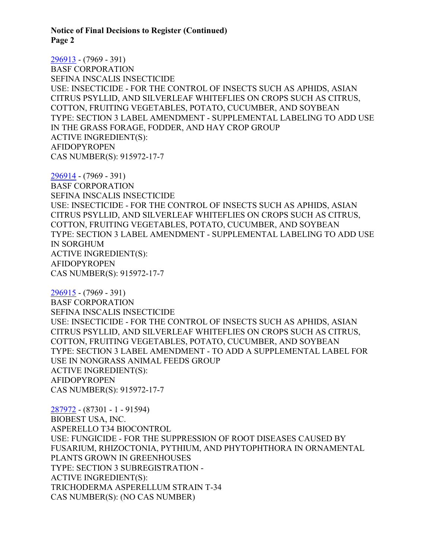**Notice of Final Decisions to Register (Continued) Page 2**

[296913](https://www.cdpr.ca.gov/docs/registration/nod/public_reports/296913.pdf) - (7969 - 391) BASF CORPORATION SEFINA INSCALIS INSECTICIDE USE: INSECTICIDE - FOR THE CONTROL OF INSECTS SUCH AS APHIDS, ASIAN CITRUS PSYLLID, AND SILVERLEAF WHITEFLIES ON CROPS SUCH AS CITRUS, COTTON, FRUITING VEGETABLES, POTATO, CUCUMBER, AND SOYBEAN TYPE: SECTION 3 LABEL AMENDMENT - SUPPLEMENTAL LABELING TO ADD USE IN THE GRASS FORAGE, FODDER, AND HAY CROP GROUP ACTIVE INGREDIENT(S): AFIDOPYROPEN CAS NUMBER(S): 915972-17-7

[296914](https://www.cdpr.ca.gov/docs/registration/nod/public_reports/296914.pdf) - (7969 - 391) BASF CORPORATION SEFINA INSCALIS INSECTICIDE USE: INSECTICIDE - FOR THE CONTROL OF INSECTS SUCH AS APHIDS, ASIAN CITRUS PSYLLID, AND SILVERLEAF WHITEFLIES ON CROPS SUCH AS CITRUS, COTTON, FRUITING VEGETABLES, POTATO, CUCUMBER, AND SOYBEAN TYPE: SECTION 3 LABEL AMENDMENT - SUPPLEMENTAL LABELING TO ADD USE IN SORGHUM ACTIVE INGREDIENT(S): AFIDOPYROPEN CAS NUMBER(S): 915972-17-7

[296915](https://www.cdpr.ca.gov/docs/registration/nod/public_reports/296915.pdf) - (7969 - 391) BASF CORPORATION SEFINA INSCALIS INSECTICIDE USE: INSECTICIDE - FOR THE CONTROL OF INSECTS SUCH AS APHIDS, ASIAN CITRUS PSYLLID, AND SILVERLEAF WHITEFLIES ON CROPS SUCH AS CITRUS, COTTON, FRUITING VEGETABLES, POTATO, CUCUMBER, AND SOYBEAN TYPE: SECTION 3 LABEL AMENDMENT - TO ADD A SUPPLEMENTAL LABEL FOR USE IN NONGRASS ANIMAL FEEDS GROUP ACTIVE INGREDIENT(S): AFIDOPYROPEN CAS NUMBER(S): 915972-17-7

[287972](https://www.cdpr.ca.gov/docs/registration/nod/public_reports/287972.pdf) - (87301 - 1 - 91594) BIOBEST USA, INC. ASPERELLO T34 BIOCONTROL USE: FUNGICIDE - FOR THE SUPPRESSION OF ROOT DISEASES CAUSED BY FUSARIUM, RHIZOCTONIA, PYTHIUM, AND PHYTOPHTHORA IN ORNAMENTAL PLANTS GROWN IN GREENHOUSES TYPE: SECTION 3 SUBREGISTRATION - ACTIVE INGREDIENT(S): TRICHODERMA ASPERELLUM STRAIN T-34 CAS NUMBER(S): (NO CAS NUMBER)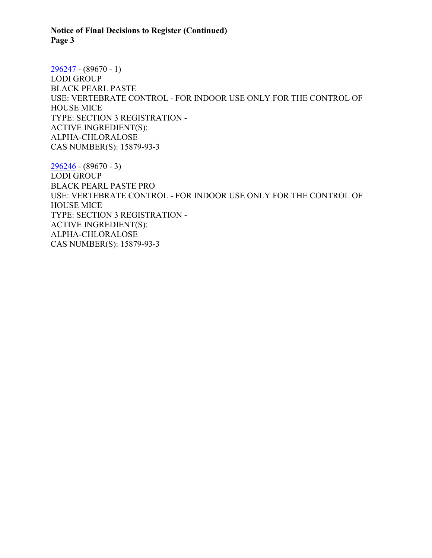**Notice of Final Decisions to Register (Continued) Page 3**

[296247](https://www.cdpr.ca.gov/docs/registration/nod/public_reports/296247.pdf) - (89670 - 1) LODI GROUP BLACK PEARL PASTE USE: VERTEBRATE CONTROL - FOR INDOOR USE ONLY FOR THE CONTROL OF HOUSE MICE TYPE: SECTION 3 REGISTRATION - ACTIVE INGREDIENT(S): ALPHA-CHLORALOSE CAS NUMBER(S): 15879-93-3

[296246](https://www.cdpr.ca.gov/docs/registration/nod/public_reports/296246.pdf) - (89670 - 3) LODI GROUP BLACK PEARL PASTE PRO USE: VERTEBRATE CONTROL - FOR INDOOR USE ONLY FOR THE CONTROL OF HOUSE MICE TYPE: SECTION 3 REGISTRATION - ACTIVE INGREDIENT(S): ALPHA-CHLORALOSE CAS NUMBER(S): 15879-93-3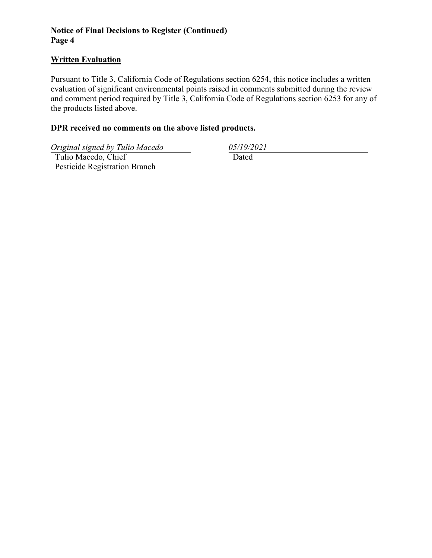## **Notice of Final Decisions to Register (Continued) Page 4**

## **Written Evaluation**

Pursuant to Title 3, California Code of Regulations section 6254, this notice includes a written evaluation of significant environmental points raised in comments submitted during the review and comment period required by Title 3, California Code of Regulations section 6253 for any of the products listed above.

## **DPR received no comments on the above listed products.**

*Original signed by Tulio Macedo 05/19/2021*

 Tulio Macedo, Chief Pesticide Registration Branch

Dated